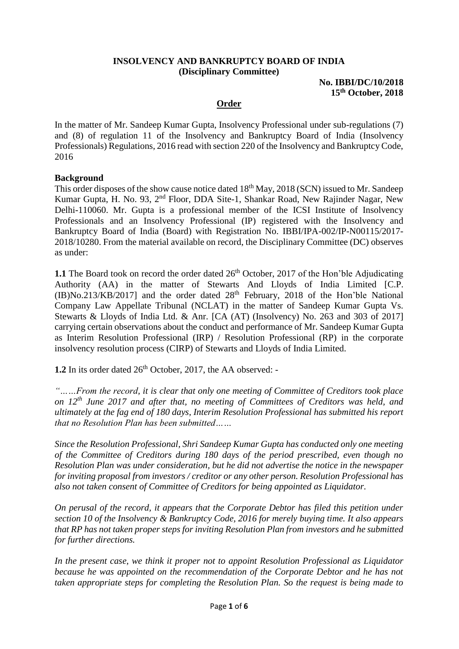### **INSOLVENCY AND BANKRUPTCY BOARD OF INDIA (Disciplinary Committee)**

#### **No. IBBI/DC/10/2018 15th October, 2018**

### **Order**

In the matter of Mr. Sandeep Kumar Gupta, Insolvency Professional under sub-regulations (7) and (8) of regulation 11 of the Insolvency and Bankruptcy Board of India (Insolvency Professionals) Regulations, 2016 read with section 220 of the Insolvency and Bankruptcy Code, 2016

### **Background**

This order disposes of the show cause notice dated 18<sup>th</sup> May, 2018 (SCN) issued to Mr. Sandeep Kumar Gupta, H. No. 93, 2nd Floor, DDA Site-1, Shankar Road, New Rajinder Nagar, New Delhi-110060. Mr. Gupta is a professional member of the ICSI Institute of Insolvency Professionals and an Insolvency Professional (IP) registered with the Insolvency and Bankruptcy Board of India (Board) with Registration No. IBBI/IPA-002/IP-N00115/2017- 2018/10280. From the material available on record, the Disciplinary Committee (DC) observes as under:

**1.1** The Board took on record the order dated  $26<sup>th</sup>$  October, 2017 of the Hon'ble Adjudicating Authority (AA) in the matter of Stewarts And Lloyds of India Limited [C.P.  $(IB)No.213/KB/2017]$  and the order dated  $28<sup>th</sup>$  February, 2018 of the Hon'ble National Company Law Appellate Tribunal (NCLAT) in the matter of Sandeep Kumar Gupta Vs. Stewarts & Lloyds of India Ltd. & Anr. [CA (AT) (Insolvency) No. 263 and 303 of 2017] carrying certain observations about the conduct and performance of Mr. Sandeep Kumar Gupta as Interim Resolution Professional (IRP) / Resolution Professional (RP) in the corporate insolvency resolution process (CIRP) of Stewarts and Lloyds of India Limited.

**1.2** In its order dated 26<sup>th</sup> October, 2017, the AA observed: -

*"……From the record, it is clear that only one meeting of Committee of Creditors took place on 12th June 2017 and after that, no meeting of Committees of Creditors was held, and ultimately at the fag end of 180 days, Interim Resolution Professional has submitted his report that no Resolution Plan has been submitted……*

*Since the Resolution Professional, Shri Sandeep Kumar Gupta has conducted only one meeting of the Committee of Creditors during 180 days of the period prescribed, even though no Resolution Plan was under consideration, but he did not advertise the notice in the newspaper for inviting proposal from investors / creditor or any other person. Resolution Professional has also not taken consent of Committee of Creditors for being appointed as Liquidator.*

*On perusal of the record, it appears that the Corporate Debtor has filed this petition under section 10 of the Insolvency & Bankruptcy Code, 2016 for merely buying time. It also appears that RP has not taken proper steps for inviting Resolution Plan from investors and he submitted for further directions.*

*In the present case, we think it proper not to appoint Resolution Professional as Liquidator because he was appointed on the recommendation of the Corporate Debtor and he has not taken appropriate steps for completing the Resolution Plan. So the request is being made to*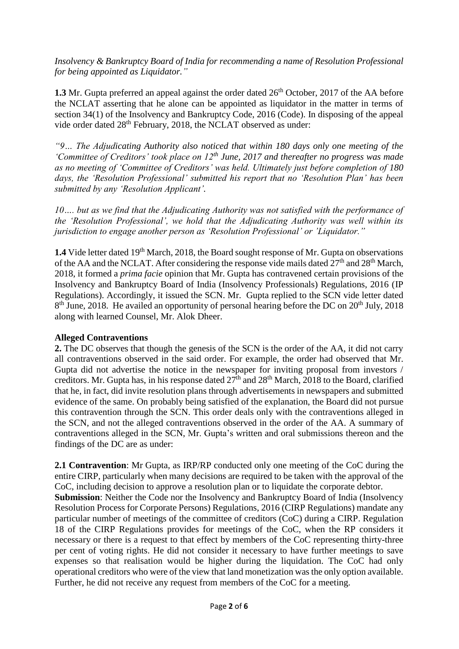*Insolvency & Bankruptcy Board of India for recommending a name of Resolution Professional for being appointed as Liquidator."*

**1.3** Mr. Gupta preferred an appeal against the order dated 26<sup>th</sup> October, 2017 of the AA before the NCLAT asserting that he alone can be appointed as liquidator in the matter in terms of section 34(1) of the Insolvency and Bankruptcy Code, 2016 (Code). In disposing of the appeal vide order dated 28<sup>th</sup> February, 2018, the NCLAT observed as under:

*"9… The Adjudicating Authority also noticed that within 180 days only one meeting of the 'Committee of Creditors' took place on 12th June, 2017 and thereafter no progress was made as no meeting of 'Committee of Creditors' was held. Ultimately just before completion of 180 days, the 'Resolution Professional' submitted his report that no 'Resolution Plan' has been submitted by any 'Resolution Applicant'.*

*10…. but as we find that the Adjudicating Authority was not satisfied with the performance of the 'Resolution Professional', we hold that the Adjudicating Authority was well within its jurisdiction to engage another person as 'Resolution Professional' or 'Liquidator."*

**1.4** Vide letter dated 19<sup>th</sup> March, 2018, the Board sought response of Mr. Gupta on observations of the AA and the NCLAT. After considering the response vide mails dated  $27<sup>th</sup>$  and  $28<sup>th</sup>$  March, 2018, it formed a *prima facie* opinion that Mr. Gupta has contravened certain provisions of the Insolvency and Bankruptcy Board of India (Insolvency Professionals) Regulations, 2016 (IP Regulations). Accordingly, it issued the SCN. Mr. Gupta replied to the SCN vide letter dated 8<sup>th</sup> June, 2018. He availed an opportunity of personal hearing before the DC on 20<sup>th</sup> July, 2018 along with learned Counsel, Mr. Alok Dheer.

# **Alleged Contraventions**

**2.** The DC observes that though the genesis of the SCN is the order of the AA, it did not carry all contraventions observed in the said order. For example, the order had observed that Mr. Gupta did not advertise the notice in the newspaper for inviting proposal from investors / creditors. Mr. Gupta has, in his response dated  $27<sup>th</sup>$  and  $28<sup>th</sup>$  March, 2018 to the Board, clarified that he, in fact, did invite resolution plans through advertisements in newspapers and submitted evidence of the same. On probably being satisfied of the explanation, the Board did not pursue this contravention through the SCN. This order deals only with the contraventions alleged in the SCN, and not the alleged contraventions observed in the order of the AA. A summary of contraventions alleged in the SCN, Mr. Gupta's written and oral submissions thereon and the findings of the DC are as under:

**2.1 Contravention**: Mr Gupta, as IRP/RP conducted only one meeting of the CoC during the entire CIRP, particularly when many decisions are required to be taken with the approval of the CoC, including decision to approve a resolution plan or to liquidate the corporate debtor.

**Submission**: Neither the Code nor the Insolvency and Bankruptcy Board of India (Insolvency Resolution Process for Corporate Persons) Regulations, 2016 (CIRP Regulations) mandate any particular number of meetings of the committee of creditors (CoC) during a CIRP. Regulation 18 of the CIRP Regulations provides for meetings of the CoC, when the RP considers it necessary or there is a request to that effect by members of the CoC representing thirty-three per cent of voting rights. He did not consider it necessary to have further meetings to save expenses so that realisation would be higher during the liquidation. The CoC had only operational creditors who were of the view that land monetization was the only option available. Further, he did not receive any request from members of the CoC for a meeting.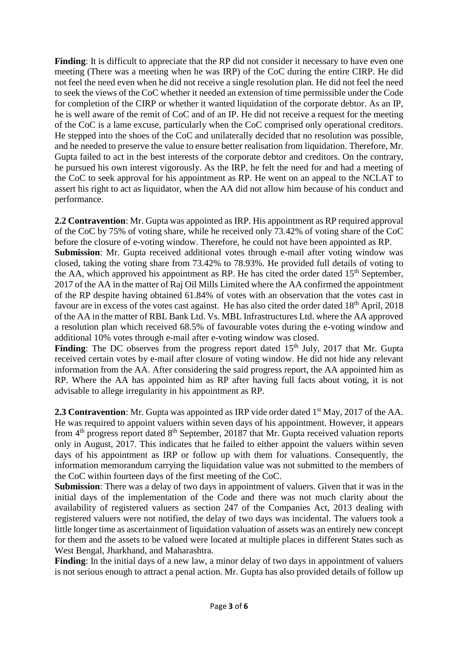Finding: It is difficult to appreciate that the RP did not consider it necessary to have even one meeting (There was a meeting when he was IRP) of the CoC during the entire CIRP. He did not feel the need even when he did not receive a single resolution plan. He did not feel the need to seek the views of the CoC whether it needed an extension of time permissible under the Code for completion of the CIRP or whether it wanted liquidation of the corporate debtor. As an IP, he is well aware of the remit of CoC and of an IP. He did not receive a request for the meeting of the CoC is a lame excuse, particularly when the CoC comprised only operational creditors. He stepped into the shoes of the CoC and unilaterally decided that no resolution was possible, and he needed to preserve the value to ensure better realisation from liquidation. Therefore, Mr. Gupta failed to act in the best interests of the corporate debtor and creditors. On the contrary, he pursued his own interest vigorously. As the IRP, he felt the need for and had a meeting of the CoC to seek approval for his appointment as RP. He went on an appeal to the NCLAT to assert his right to act as liquidator, when the AA did not allow him because of his conduct and performance.

**2.2 Contravention**: Mr. Gupta was appointed as IRP. His appointment as RP required approval of the CoC by 75% of voting share, while he received only 73.42% of voting share of the CoC before the closure of e-voting window. Therefore, he could not have been appointed as RP. **Submission**: Mr. Gupta received additional votes through e-mail after voting window was closed, taking the voting share from 73.42% to 78.93%. He provided full details of voting to the AA, which approved his appointment as RP. He has cited the order dated  $15<sup>th</sup>$  September, 2017 of the AA in the matter of Raj Oil Mills Limited where the AA confirmed the appointment of the RP despite having obtained 61.84% of votes with an observation that the votes cast in favour are in excess of the votes cast against. He has also cited the order dated 18<sup>th</sup> April, 2018 of the AA in the matter of RBL Bank Ltd. Vs. MBL Infrastructures Ltd. where the AA approved a resolution plan which received 68.5% of favourable votes during the e-voting window and additional 10% votes through e-mail after e-voting window was closed.

Finding: The DC observes from the progress report dated 15<sup>th</sup> July, 2017 that Mr. Gupta received certain votes by e-mail after closure of voting window. He did not hide any relevant information from the AA. After considering the said progress report, the AA appointed him as RP. Where the AA has appointed him as RP after having full facts about voting, it is not advisable to allege irregularity in his appointment as RP.

**2.3 Contravention**: Mr. Gupta was appointed as IRP vide order dated 1<sup>st</sup> May, 2017 of the AA. He was required to appoint valuers within seven days of his appointment. However, it appears from  $4<sup>th</sup>$  progress report dated  $8<sup>th</sup>$  September, 20187 that Mr. Gupta received valuation reports only in August, 2017. This indicates that he failed to either appoint the valuers within seven days of his appointment as IRP or follow up with them for valuations. Consequently, the information memorandum carrying the liquidation value was not submitted to the members of the CoC within fourteen days of the first meeting of the CoC.

**Submission**: There was a delay of two days in appointment of valuers. Given that it was in the initial days of the implementation of the Code and there was not much clarity about the availability of registered valuers as section 247 of the Companies Act, 2013 dealing with registered valuers were not notified, the delay of two days was incidental. The valuers took a little longer time as ascertainment of liquidation valuation of assets was an entirely new concept for them and the assets to be valued were located at multiple places in different States such as West Bengal, Jharkhand, and Maharashtra.

**Finding**: In the initial days of a new law, a minor delay of two days in appointment of valuers is not serious enough to attract a penal action. Mr. Gupta has also provided details of follow up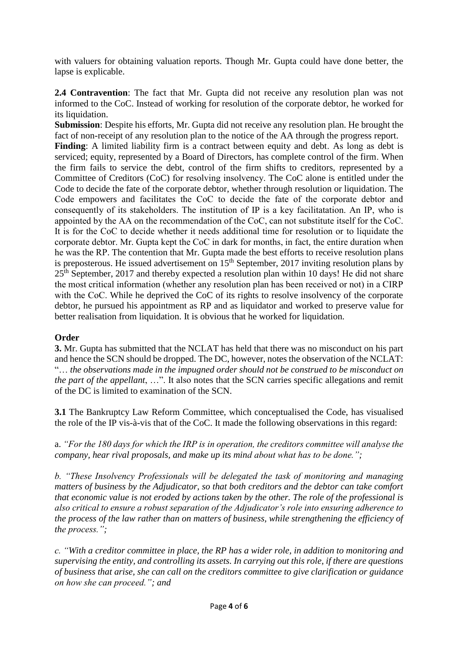with valuers for obtaining valuation reports. Though Mr. Gupta could have done better, the lapse is explicable.

**2.4 Contravention**: The fact that Mr. Gupta did not receive any resolution plan was not informed to the CoC. Instead of working for resolution of the corporate debtor, he worked for its liquidation.

**Submission**: Despite his efforts, Mr. Gupta did not receive any resolution plan. He brought the fact of non-receipt of any resolution plan to the notice of the AA through the progress report.

Finding: A limited liability firm is a contract between equity and debt. As long as debt is serviced; equity, represented by a Board of Directors, has complete control of the firm. When the firm fails to service the debt, control of the firm shifts to creditors, represented by a Committee of Creditors (CoC) for resolving insolvency. The CoC alone is entitled under the Code to decide the fate of the corporate debtor, whether through resolution or liquidation. The Code empowers and facilitates the CoC to decide the fate of the corporate debtor and consequently of its stakeholders. The institution of IP is a key facilitatation. An IP, who is appointed by the AA on the recommendation of the CoC, can not substitute itself for the CoC. It is for the CoC to decide whether it needs additional time for resolution or to liquidate the corporate debtor. Mr. Gupta kept the CoC in dark for months, in fact, the entire duration when he was the RP. The contention that Mr. Gupta made the best efforts to receive resolution plans is preposterous. He issued advertisement on  $15<sup>th</sup>$  September, 2017 inviting resolution plans by 25th September, 2017 and thereby expected a resolution plan within 10 days! He did not share the most critical information (whether any resolution plan has been received or not) in a CIRP with the CoC. While he deprived the CoC of its rights to resolve insolvency of the corporate debtor, he pursued his appointment as RP and as liquidator and worked to preserve value for better realisation from liquidation. It is obvious that he worked for liquidation.

# **Order**

**3.** Mr. Gupta has submitted that the NCLAT has held that there was no misconduct on his part and hence the SCN should be dropped. The DC, however, notes the observation of the NCLAT: "… *the observations made in the impugned order should not be construed to be misconduct on the part of the appellant*, …". It also notes that the SCN carries specific allegations and remit of the DC is limited to examination of the SCN.

**3.1** The Bankruptcy Law Reform Committee, which conceptualised the Code, has visualised the role of the IP vis-à-vis that of the CoC. It made the following observations in this regard:

a. *"For the 180 days for which the IRP is in operation, the creditors committee will analyse the company, hear rival proposals, and make up its mind about what has to be done.";* 

*b. "These Insolvency Professionals will be delegated the task of monitoring and managing matters of business by the Adjudicator, so that both creditors and the debtor can take comfort that economic value is not eroded by actions taken by the other. The role of the professional is also critical to ensure a robust separation of the Adjudicator's role into ensuring adherence to the process of the law rather than on matters of business, while strengthening the efficiency of the process.";*

*c. "With a creditor committee in place, the RP has a wider role, in addition to monitoring and supervising the entity, and controlling its assets. In carrying out this role, if there are questions of business that arise, she can call on the creditors committee to give clarification or guidance on how she can proceed."; and*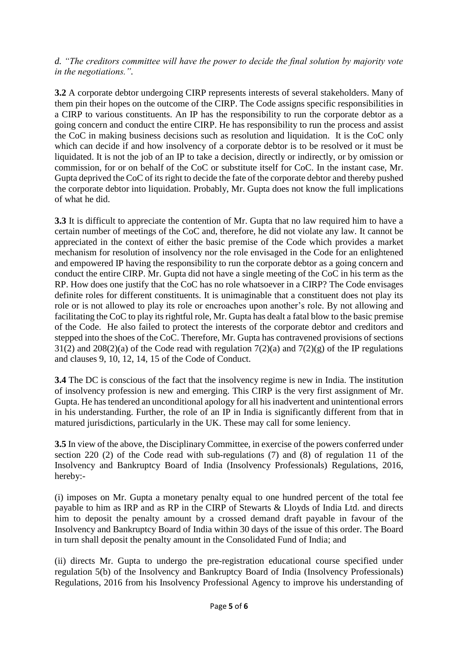# *d. "The creditors committee will have the power to decide the final solution by majority vote in the negotiations.".*

**3.2** A corporate debtor undergoing CIRP represents interests of several stakeholders. Many of them pin their hopes on the outcome of the CIRP. The Code assigns specific responsibilities in a CIRP to various constituents. An IP has the responsibility to run the corporate debtor as a going concern and conduct the entire CIRP. He has responsibility to run the process and assist the CoC in making business decisions such as resolution and liquidation. It is the CoC only which can decide if and how insolvency of a corporate debtor is to be resolved or it must be liquidated. It is not the job of an IP to take a decision, directly or indirectly, or by omission or commission, for or on behalf of the CoC or substitute itself for CoC. In the instant case, Mr. Gupta deprived the CoC of its right to decide the fate of the corporate debtor and thereby pushed the corporate debtor into liquidation. Probably, Mr. Gupta does not know the full implications of what he did.

**3.3** It is difficult to appreciate the contention of Mr. Gupta that no law required him to have a certain number of meetings of the CoC and, therefore, he did not violate any law. It cannot be appreciated in the context of either the basic premise of the Code which provides a market mechanism for resolution of insolvency nor the role envisaged in the Code for an enlightened and empowered IP having the responsibility to run the corporate debtor as a going concern and conduct the entire CIRP. Mr. Gupta did not have a single meeting of the CoC in his term as the RP. How does one justify that the CoC has no role whatsoever in a CIRP? The Code envisages definite roles for different constituents. It is unimaginable that a constituent does not play its role or is not allowed to play its role or encroaches upon another's role. By not allowing and facilitating the CoC to play its rightful role, Mr. Gupta has dealt a fatal blow to the basic premise of the Code. He also failed to protect the interests of the corporate debtor and creditors and stepped into the shoes of the CoC. Therefore, Mr. Gupta has contravened provisions of sections 31(2) and 208(2)(a) of the Code read with regulation  $7(2)(a)$  and  $7(2)(g)$  of the IP regulations and clauses 9, 10, 12, 14, 15 of the Code of Conduct.

**3.4** The DC is conscious of the fact that the insolvency regime is new in India. The institution of insolvency profession is new and emerging. This CIRP is the very first assignment of Mr. Gupta. He has tendered an unconditional apology for all his inadvertent and unintentional errors in his understanding. Further, the role of an IP in India is significantly different from that in matured jurisdictions, particularly in the UK. These may call for some leniency.

**3.5** In view of the above, the Disciplinary Committee, in exercise of the powers conferred under section 220 (2) of the Code read with sub-regulations (7) and (8) of regulation 11 of the Insolvency and Bankruptcy Board of India (Insolvency Professionals) Regulations, 2016, hereby:-

(i) imposes on Mr. Gupta a monetary penalty equal to one hundred percent of the total fee payable to him as IRP and as RP in the CIRP of Stewarts & Lloyds of India Ltd. and directs him to deposit the penalty amount by a crossed demand draft payable in favour of the Insolvency and Bankruptcy Board of India within 30 days of the issue of this order. The Board in turn shall deposit the penalty amount in the Consolidated Fund of India; and

(ii) directs Mr. Gupta to undergo the pre-registration educational course specified under regulation 5(b) of the Insolvency and Bankruptcy Board of India (Insolvency Professionals) Regulations, 2016 from his Insolvency Professional Agency to improve his understanding of